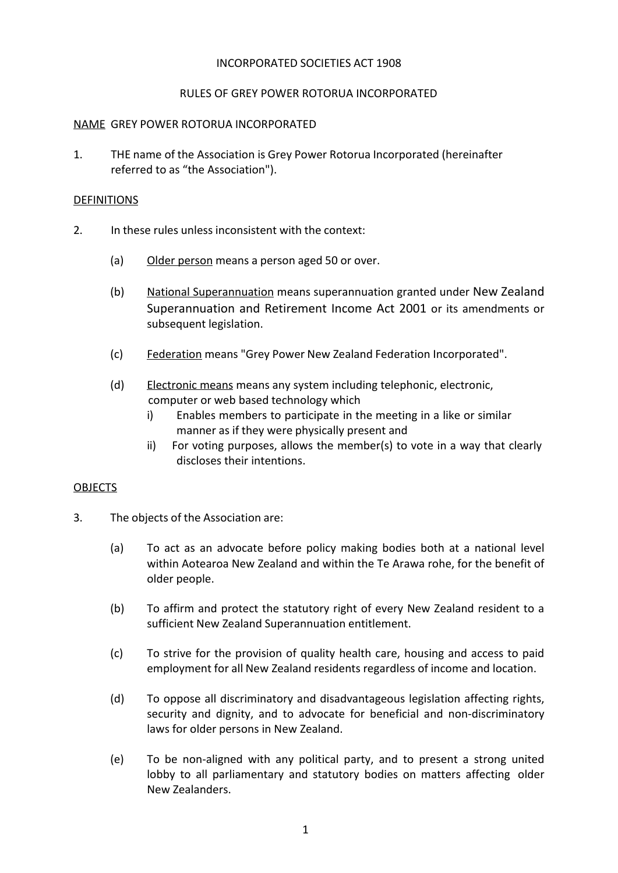### INCORPORATED SOCIETIES ACT 1908

### RULES OF GREY POWER ROTORUA INCORPORATED

#### NAME GREY POWER ROTORUA INCORPORATED

1. THE name of the Association is Grey Power Rotorua Incorporated (hereinafter referred to as "the Association").

#### **DEFINITIONS**

- 2. In these rules unless inconsistent with the context:
	- (a) Older person means a person aged 50 or over.
	- (b) National Superannuation means superannuation granted under New Zealand Superannuation and Retirement Income Act 2001 or its amendments or subsequent legislation.
	- (c) Federation means "Grey Power New Zealand Federation Incorporated".
	- (d) Electronic means means any system including telephonic, electronic, computer or web based technology which
		- i) Enables members to participate in the meeting in a like or similar manner as if they were physically present and
		- ii) For voting purposes, allows the member(s) to vote in a way that clearly discloses their intentions.

### OBJECTS

- 3. The objects of the Association are:
	- (a) To act as an advocate before policy making bodies both at a national level within Aotearoa New Zealand and within the Te Arawa rohe, for the benefit of older people.
	- (b) To affirm and protect the statutory right of every New Zealand resident to a sufficient New Zealand Superannuation entitlement.
	- (c) To strive for the provision of quality health care, housing and access to paid employment for all New Zealand residents regardless of income and location.
	- (d) To oppose all discriminatory and disadvantageous legislation affecting rights, security and dignity, and to advocate for beneficial and non-discriminatory laws for older persons in New Zealand.
	- (e) To be non-aligned with any political party, and to present a strong united lobby to all parliamentary and statutory bodies on matters affecting older New Zealanders.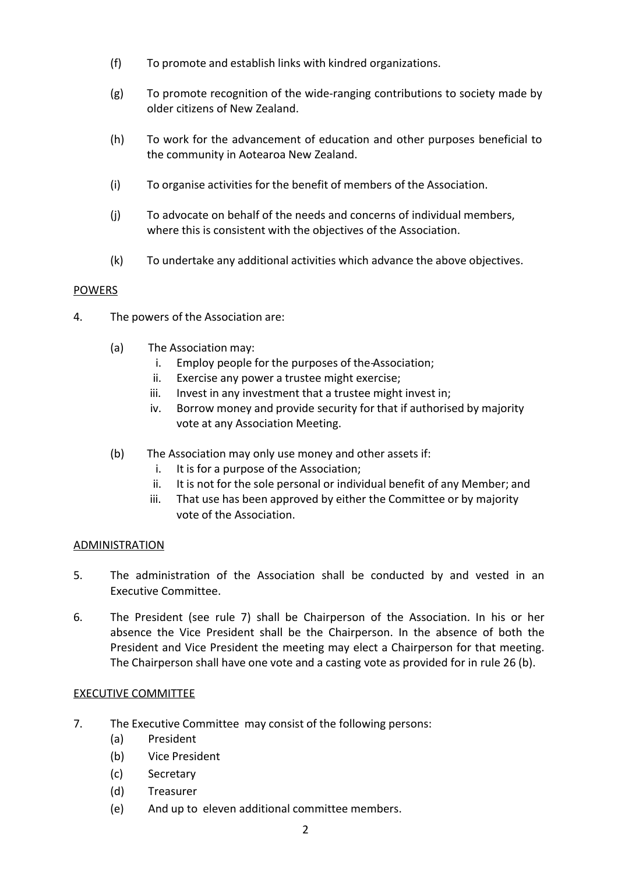- (f) To promote and establish links with kindred organizations.
- (g) To promote recognition of the wide-ranging contributions to society made by older citizens of New Zealand.
- (h) To work for the advancement of education and other purposes beneficial to the community in Aotearoa New Zealand.
- (i) To organise activities for the benefit of members of the Association.
- (j) To advocate on behalf of the needs and concerns of individual members, where this is consistent with the objectives of the Association.
- (k) To undertake any additional activities which advance the above objectives.

# **POWERS**

- 4. The powers of the Association are:
	- (a) The Association may:
		- i. Employ people for the purposes of the Association;
		- ii. Exercise any power a trustee might exercise;
		- iii. Invest in any investment that a trustee might invest in;
		- iv. Borrow money and provide security for that if authorised by majority vote at any Association Meeting.
	- (b) The Association may only use money and other assets if:
		- i. It is for a purpose of the Association;
		- ii. It is not for the sole personal or individual benefit of any Member; and
		- iii. That use has been approved by either the Committee or by majority vote of the Association.

### **ADMINISTRATION**

- 5. The administration of the Association shall be conducted by and vested in an Executive Committee.
- 6. The President (see rule 7) shall be Chairperson of the Association. In his or her absence the Vice President shall be the Chairperson. In the absence of both the President and Vice President the meeting may elect a Chairperson for that meeting. The Chairperson shall have one vote and a casting vote as provided for in rule 26 (b).

### EXECUTIVE COMMITTEE

- 7. The Executive Committee may consist of the following persons:
	- (a) President
	- (b) Vice President
	- (c) Secretary
	- (d) Treasurer
	- (e) And up to eleven additional committee members.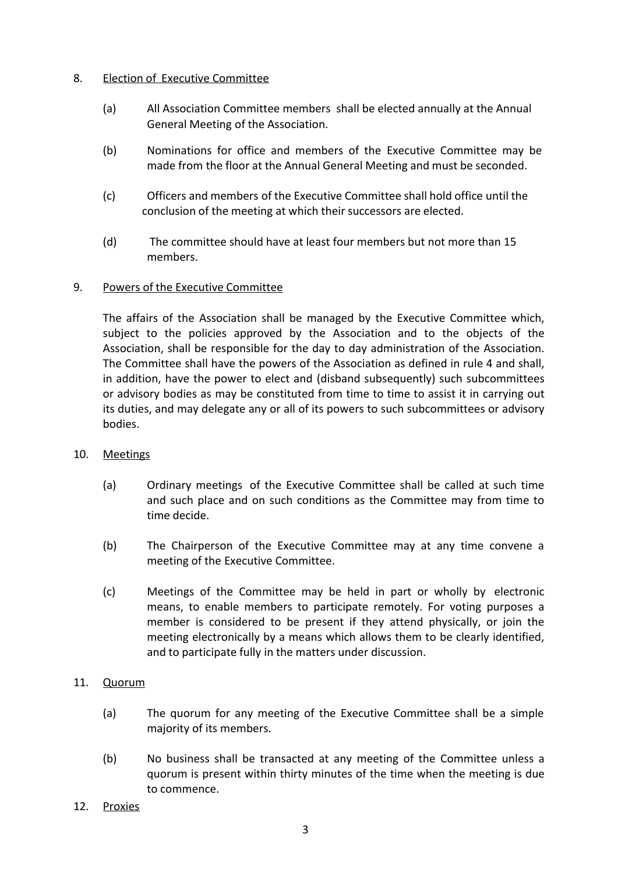### 8. Election of Executive Committee

- (a) All Association Committee members shall be elected annually at the Annual General Meeting of the Association.
- (b) Nominations for office and members of the Executive Committee may be made from the floor at the Annual General Meeting and must be seconded.
- (c) Officers and members of the Executive Committee shall hold office until the conclusion of the meeting at which their successors are elected.
- (d) The committee should have at least four members but not more than 15 members.

# 9. Powers of the Executive Committee

The affairs of the Association shall be managed by the Executive Committee which, subject to the policies approved by the Association and to the objects of the Association, shall be responsible for the day to day administration of the Association. The Committee shall have the powers of the Association as defined in rule 4 and shall, in addition, have the power to elect and (disband subsequently) such subcommittees or advisory bodies as may be constituted from time to time to assist it in carrying out its duties, and may delegate any or all of its powers to such subcommittees or advisory bodies.

### 10. Meetings

- (a) Ordinary meetings of the Executive Committee shall be called at such time and such place and on such conditions as the Committee may from time to time decide.
- (b) The Chairperson of the Executive Committee may at any time convene a meeting of the Executive Committee.
- (c) Meetings of the Committee may be held in part or wholly by electronic means, to enable members to participate remotely. For voting purposes a member is considered to be present if they attend physically, or join the meeting electronically by a means which allows them to be clearly identified, and to participate fully in the matters under discussion.

### 11. Quorum

- (a) The quorum for any meeting of the Executive Committee shall be a simple majority of its members.
- (b) No business shall be transacted at any meeting of the Committee unless a quorum is present within thirty minutes of the time when the meeting is due to commence.
- 12. Proxies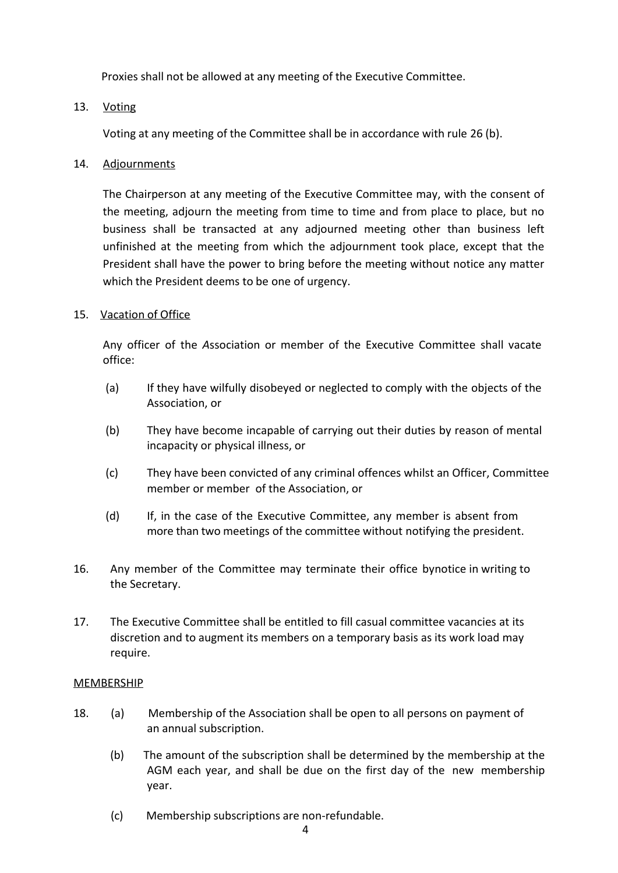Proxies shall not be allowed at any meeting of the Executive Committee.

### 13. Voting

Voting at any meeting of the Committee shall be in accordance with rule 26 (b).

### 14. Adjournments

The Chairperson at any meeting of the Executive Committee may, with the consent of the meeting, adjourn the meeting from time to time and from place to place, but no business shall be transacted at any adjourned meeting other than business left unfinished at the meeting from which the adjournment took place, except that the President shall have the power to bring before the meeting without notice any matter which the President deems to be one of urgency.

### 15. Vacation of Office

Any officer of the *A*ssociation or member of the Executive Committee shall vacate office:

- (a) If they have wilfully disobeyed or neglected to comply with the objects of the Association, or
- (b) They have become incapable of carrying out their duties by reason of mental incapacity or physical illness, or
- (c) They have been convicted of any criminal offences whilst an Officer, Committee member or member of the Association, or
- (d) If, in the case of the Executive Committee, any member is absent from more than two meetings of the committee without notifying the president.
- 16. Any member of the Committee may terminate their office bynotice in writing to the Secretary.
- 17. The Executive Committee shall be entitled to fill casual committee vacancies at its discretion and to augment its members on a temporary basis as its work load may require.

#### MEMBERSHIP

- 18. (a) Membership of the Association shall be open to all persons on payment of an annual subscription.
	- (b) The amount of the subscription shall be determined by the membership at the AGM each year, and shall be due on the first day of the new membership year.
	- (c) Membership subscriptions are non-refundable.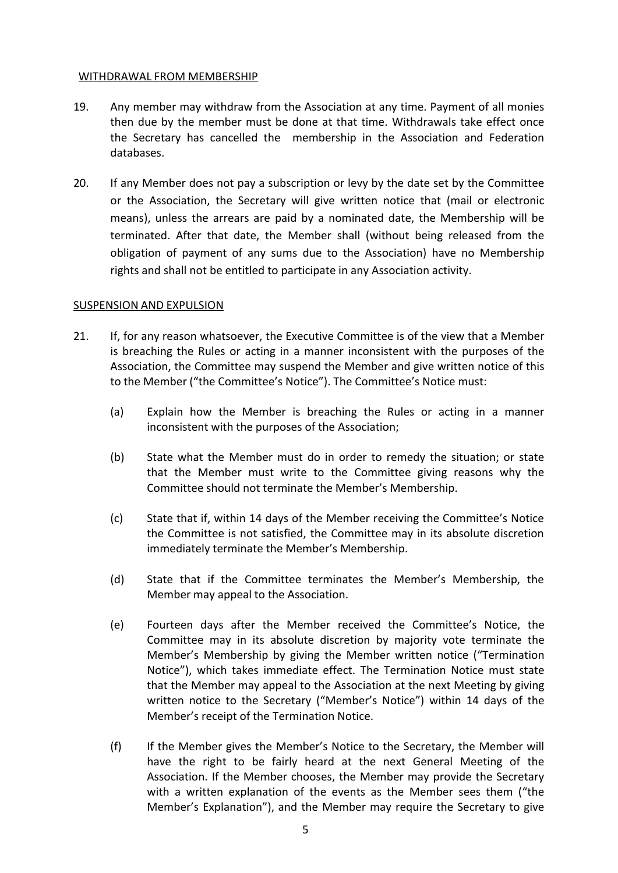#### WITHDRAWAL FROM MEMBERSHIP

- 19. Any member may withdraw from the Association at any time. Payment of all monies then due by the member must be done at that time. Withdrawals take effect once the Secretary has cancelled the membership in the Association and Federation databases.
- 20. If any Member does not pay a subscription or levy by the date set by the Committee or the Association, the Secretary will give written notice that (mail or electronic means), unless the arrears are paid by a nominated date, the Membership will be terminated. After that date, the Member shall (without being released from the obligation of payment of any sums due to the Association) have no Membership rights and shall not be entitled to participate in any Association activity.

### SUSPENSION AND EXPULSION

- 21. If, for any reason whatsoever, the Executive Committee is of the view that a Member is breaching the Rules or acting in a manner inconsistent with the purposes of the Association, the Committee may suspend the Member and give written notice of this to the Member ("the Committee's Notice"). The Committee's Notice must:
	- (a) Explain how the Member is breaching the Rules or acting in a manner inconsistent with the purposes of the Association;
	- (b) State what the Member must do in order to remedy the situation; or state that the Member must write to the Committee giving reasons why the Committee should not terminate the Member's Membership.
	- (c) State that if, within 14 days of the Member receiving the Committee's Notice the Committee is not satisfied, the Committee may in its absolute discretion immediately terminate the Member's Membership.
	- (d) State that if the Committee terminates the Member's Membership, the Member may appeal to the Association.
	- (e) Fourteen days after the Member received the Committee's Notice, the Committee may in its absolute discretion by majority vote terminate the Member's Membership by giving the Member written notice ("Termination Notice"), which takes immediate effect. The Termination Notice must state that the Member may appeal to the Association at the next Meeting by giving written notice to the Secretary ("Member's Notice") within 14 days of the Member's receipt of the Termination Notice.
	- (f) If the Member gives the Member's Notice to the Secretary, the Member will have the right to be fairly heard at the next General Meeting of the Association. If the Member chooses, the Member may provide the Secretary with a written explanation of the events as the Member sees them ("the Member's Explanation"), and the Member may require the Secretary to give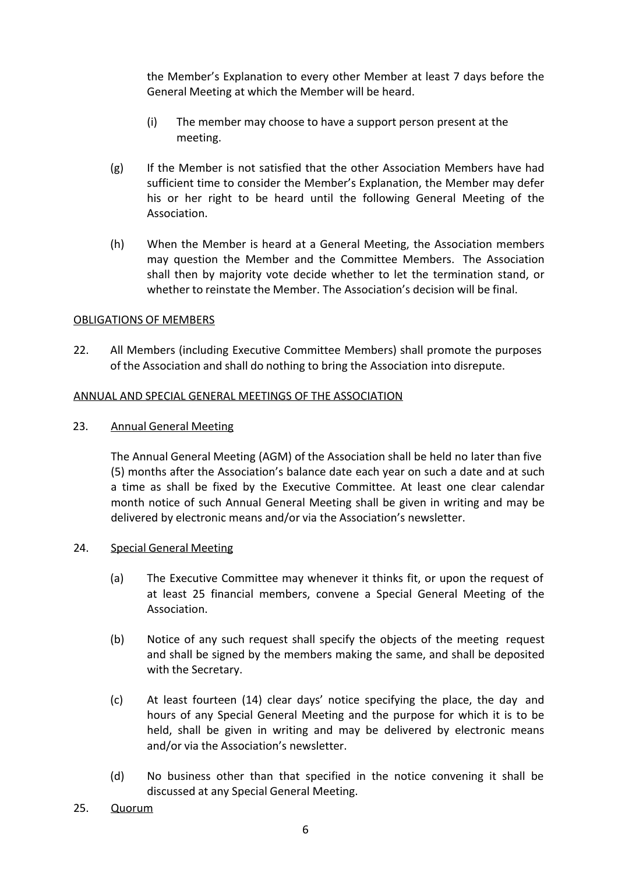the Member's Explanation to every other Member at least 7 days before the General Meeting at which the Member will be heard.

- (i) The member may choose to have a support person present at the meeting.
- (g) If the Member is not satisfied that the other Association Members have had sufficient time to consider the Member's Explanation, the Member may defer his or her right to be heard until the following General Meeting of the Association.
- (h) When the Member is heard at a General Meeting, the Association members may question the Member and the Committee Members. The Association shall then by majority vote decide whether to let the termination stand, or whether to reinstate the Member. The Association's decision will be final.

# OBLIGATIONS OF MEMBERS

22. All Members (including Executive Committee Members) shall promote the purposes of the Association and shall do nothing to bring the Association into disrepute.

# ANNUAL AND SPECIAL GENERAL MEETINGS OF THE ASSOCIATION

# 23. Annual General Meeting

The Annual General Meeting (AGM) of the Association shall be held no later than five (5) months after the Association's balance date each year on such a date and at such a time as shall be fixed by the Executive Committee. At least one clear calendar month notice of such Annual General Meeting shall be given in writing and may be delivered by electronic means and/or via the Association's newsletter.

### 24. Special General Meeting

- (a) The Executive Committee may whenever it thinks fit, or upon the request of at least 25 financial members, convene a Special General Meeting of the Association.
- (b) Notice of any such request shall specify the objects of the meeting request and shall be signed by the members making the same, and shall be deposited with the Secretary.
- (c) At least fourteen (14) clear days' notice specifying the place, the day and hours of any Special General Meeting and the purpose for which it is to be held, shall be given in writing and may be delivered by electronic means and/or via the Association's newsletter.
- (d) No business other than that specified in the notice convening it shall be discussed at any Special General Meeting.
- 25. Quorum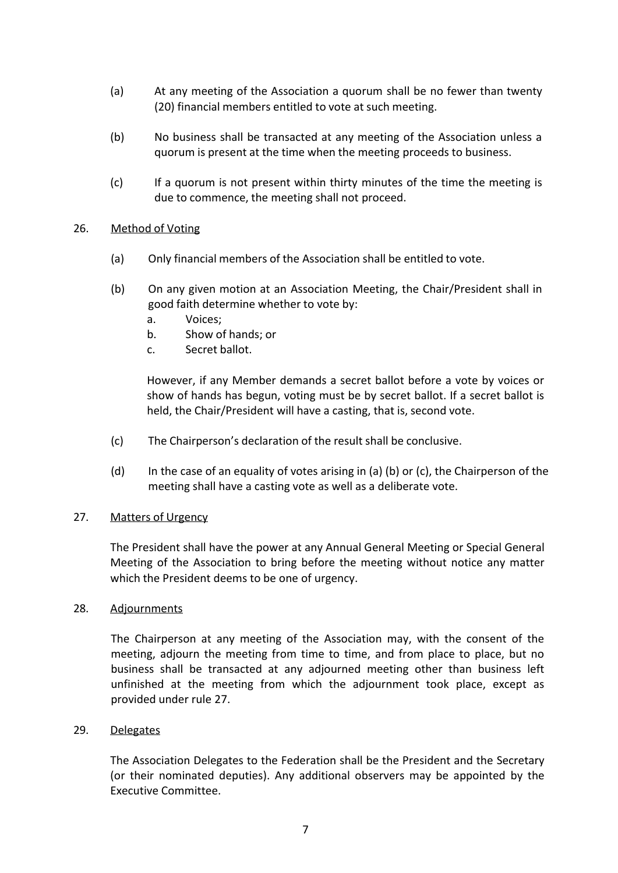- (a) At any meeting of the Association a quorum shall be no fewer than twenty (20) financial members entitled to vote at such meeting.
- (b) No business shall be transacted at any meeting of the Association unless a quorum is present at the time when the meeting proceeds to business.
- (c) If a quorum is not present within thirty minutes of the time the meeting is due to commence, the meeting shall not proceed.

### 26. Method of Voting

- (a) Only financial members of the Association shall be entitled to vote.
- (b) On any given motion at an Association Meeting, the Chair/President shall in good faith determine whether to vote by:
	- a. Voices;
	- b. Show of hands; or
	- c. Secret ballot.

However, if any Member demands a secret ballot before a vote by voices or show of hands has begun, voting must be by secret ballot. If a secret ballot is held, the Chair/President will have a casting, that is, second vote.

- (c) The Chairperson's declaration of the result shall be conclusive.
- (d) In the case of an equality of votes arising in (a) (b) or (c), the Chairperson of the meeting shall have a casting vote as well as a deliberate vote.

### 27. Matters of Urgency

The President shall have the power at any Annual General Meeting or Special General Meeting of the Association to bring before the meeting without notice any matter which the President deems to be one of urgency.

### 28. Adjournments

The Chairperson at any meeting of the Association may, with the consent of the meeting, adjourn the meeting from time to time, and from place to place, but no business shall be transacted at any adjourned meeting other than business left unfinished at the meeting from which the adjournment took place, except as provided under rule 27.

### 29. Delegates

The Association Delegates to the Federation shall be the President and the Secretary (or their nominated deputies). Any additional observers may be appointed by the Executive Committee.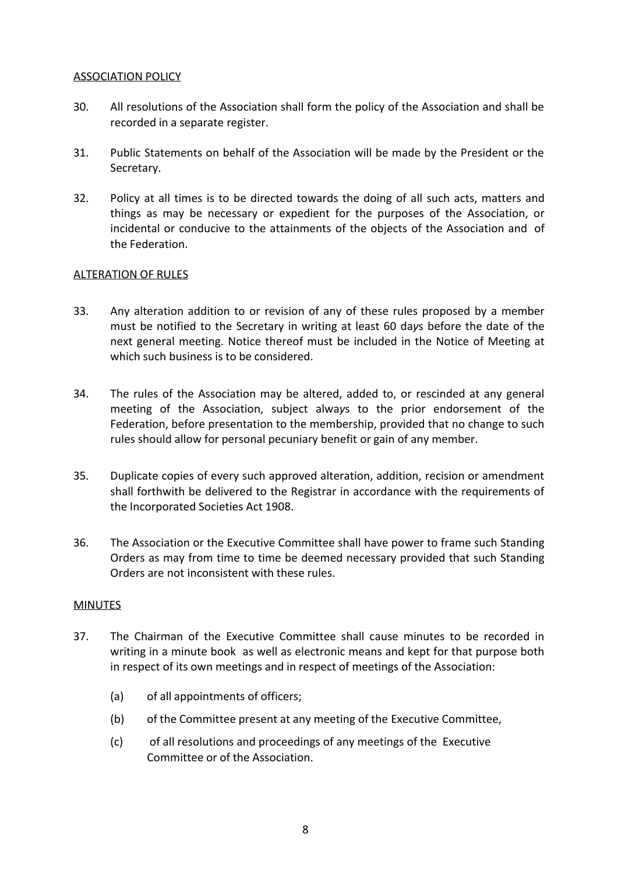### ASSOCIATION POLICY

- 30. All resolutions of the Association shall form the policy of the Association and shall be recorded in a separate register.
- 31. Public Statements on behalf of the Association will be made by the President or the Secretary.
- 32. Policy at all times is to be directed towards the doing of all such acts, matters and things as may be necessary or expedient for the purposes of the Association, or incidental or conducive to the attainments of the objects of the Association and of the Federation.

# ALTERATION OF RULES

- 33. Any alteration addition to or revision of any of these rules proposed by a member must be notified to the Secretary in writing at least 60 da*y*s before the date of the next general meeting. Notice thereof must be included in the Notice of Meeting at which such business is to be considered.
- 34. The rules of the Association may be altered, added to, or rescinded at any general meeting of the Association, subject alwa*y*s to the prior endorsement of the Federation, before presentation to the membership, provided that no change to such rules should allow for personal pecuniary benefit or gain of any member.
- 35. Duplicate copies of every such approved alteration, addition, recision or amendment shall forthwith be delivered to the Registrar in accordance with the requirements of the Incorporated Societies Act 1908.
- 36. The Association or the Executive Committee shall have power to frame such Standing Orders as may from time to time be deemed necessary provided that such Standing Orders are not inconsistent with these rules.

### MINUTES

- 37. The Chairman of the Executive Committee shall cause minutes to be recorded in writing in a minute book as well as electronic means and kept for that purpose both in respect of its own meetings and in respect of meetings of the Association:
	- (a) of all appointments of officers;
	- (b) of the Committee present at any meeting of the Executive Committee,
	- (c) of all resolutions and proceedings of any meetings of the Executive Committee or of the Association.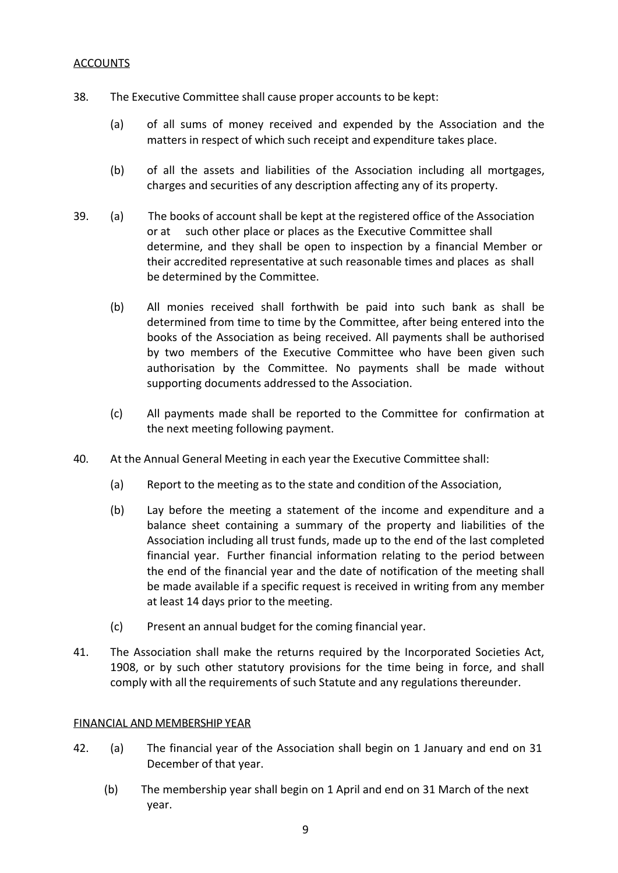### **ACCOUNTS**

- 38. The Executive Committee shall cause proper accounts to be kept:
	- (a) of all sums of money received and expended by the Association and the matters in respect of which such receipt and expenditure takes place.
	- (b) of all the assets and liabilities of the A*s*sociation including all mortgages, charges and securities of any description affecting any of its property.
- 39. (a) The books of account shall be kept at the registered office of the Association or at such other place or places as the Executive Committee shall determine, and they shall be open to inspection by a financial Member or their accredited representative at such reasonable times and places as shall be determined by the Committee.
	- (b) All monies received shall forthwith be paid into such bank as shall be determined from time to time by the Committee, after being entered into the books of the Association as being received. All payments shall be authorised by two members of the Executive Committee who have been given such authorisation by the Committee. No payments shall be made without supporting documents addressed to the Association.
	- (c) All payments made shall be reported to the Committee for confirmation at the next meeting following payment.
- 40. At the Annual General Meeting in each year the Executive Committee shall:
	- (a) Report to the meeting as to the state and condition of the Association,
	- (b) Lay before the meeting a statement of the income and expenditure and a balance sheet containing a summary of the property and liabilities of the Association including all trust funds, made up to the end of the last completed financial year. Further financial information relating to the period between the end of the financial year and the date of notification of the meeting shall be made available if a specific request is received in writing from any member at least 14 days prior to the meeting.
	- (c) Present an annual budget for the coming financial year.
- 41. The Association shall make the returns required by the Incorporated Societies Act, 1908, or by such other statutory provisions for the time being in force, and shall comply with all the requirements of such Statute and any regulations thereunder.

### FINANCIAL AND MEMBERSHIP YEAR

- 42. (a) The financial year of the Association shall begin on 1 January and end on 31 December of that year.
	- (b) The membership year shall begin on 1 April and end on 31 March of the next year.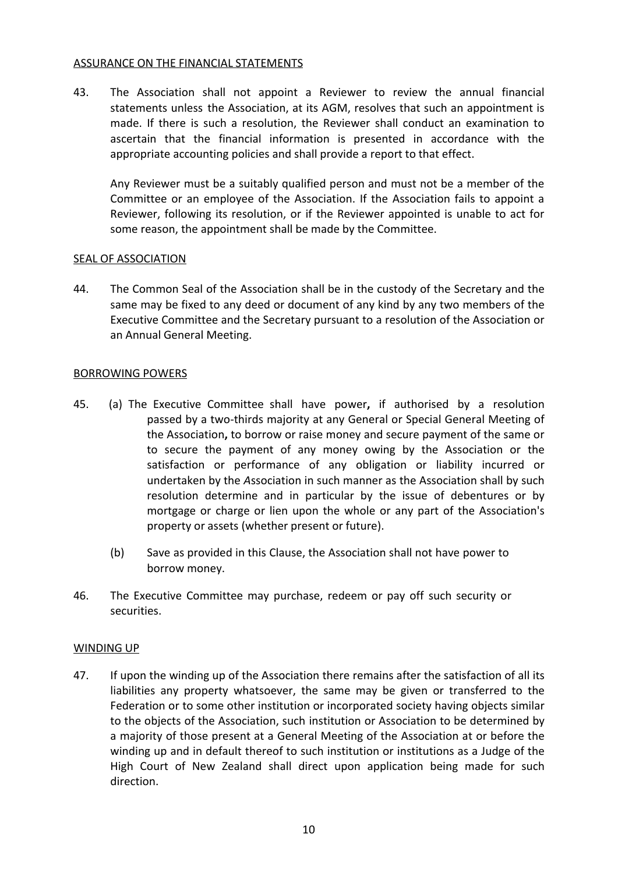### ASSURANCE ON THE FINANCIAL STATEMENTS

43. The Association shall not appoint a Reviewer to review the annual financial statements unless the Association, at its AGM, resolves that such an appointment is made. If there is such a resolution, the Reviewer shall conduct an examination to ascertain that the financial information is presented in accordance with the appropriate accounting policies and shall provide a report to that effect.

Any Reviewer must be a suitably qualified person and must not be a member of the Committee or an employee of the Association. If the Association fails to appoint a Reviewer, following its resolution, or if the Reviewer appointed is unable to act for some reason, the appointment shall be made by the Committee.

### SEAL OF ASSOCIATION

44. The Common Seal of the Association shall be in the custody of the Secretary and the same may be fixed to any deed or document of any kind by any two members of the Executive Committee and the Secretary pursuant to a resolution of the Association or an Annual General Meeting.

### BORROWING POWERS

- 45. (a) The Executive Committee shall have power**,** if authorised by a resolution passed by a two-thirds majority at any General or Special General Meeting of the Association**,** to borrow or raise money and secure payment of the same or to secure the payment of any money owing by the Association or the satisfaction or performance of any obligation or liability incurred or undertaken by the *A*ssociation in such manner as the Association shall by such resolution determine and in particular by the issue of debentures or by mortgage or charge or lien upon the whole or any part of the Association's property or assets (whether present or future).
	- (b) Save as provided in this Clause, the Association shall not have power to borrow money.
- 46. The Executive Committee may purchase, redeem or pay off such security or securities.

### WINDING UP

47. If upon the winding up of the Association there remains after the satisfaction of all its liabilities any property whatsoever, the same may be given or transferred to the Federation or to some other institution or incorporated society having objects similar to the objects of the Association, such institution or Association to be determined by a majority of those present at a General Meeting of the Association at or before the winding up and in default thereof to such institution or institutions as a Judge of the High Court of New Zealand shall direct upon application being made for such direction.